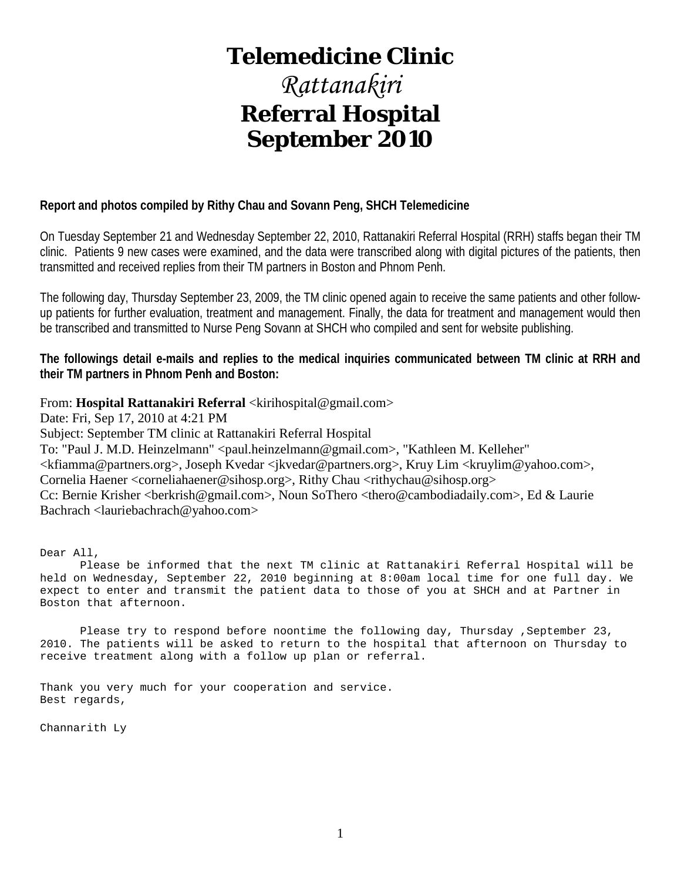# **Telemedicine Clinic**

# *Rattanakiri* **Referral Hospital September 2010**

# **Report and photos compiled by Rithy Chau and Sovann Peng, SHCH Telemedicine**

On Tuesday September 21 and Wednesday September 22, 2010, Rattanakiri Referral Hospital (RRH) staffs began their TM clinic. Patients 9 new cases were examined, and the data were transcribed along with digital pictures of the patients, then transmitted and received replies from their TM partners in Boston and Phnom Penh.

The following day, Thursday September 23, 2009, the TM clinic opened again to receive the same patients and other followup patients for further evaluation, treatment and management. Finally, the data for treatment and management would then be transcribed and transmitted to Nurse Peng Sovann at SHCH who compiled and sent for website publishing.

**The followings detail e-mails and replies to the medical inquiries communicated between TM clinic at RRH and their TM partners in Phnom Penh and Boston:**

### From: **Hospital Rattanakiri Referral** <kirihospital@gmail.com>

Date: Fri, Sep 17, 2010 at 4:21 PM

Subject: September TM clinic at Rattanakiri Referral Hospital

To: "Paul J. M.D. Heinzelmann" <paul.heinzelmann@gmail.com>, "Kathleen M. Kelleher"

<kfiamma@partners.org>, Joseph Kvedar <jkvedar@partners.org>, Kruy Lim <kruylim@yahoo.com>,

Cornelia Haener <corneliahaener@sihosp.org>, Rithy Chau <rithychau@sihosp.org>

Cc: Bernie Krisher <berkrish@gmail.com>, Noun SoThero <thero@cambodiadaily.com>, Ed & Laurie Bachrach <lauriebachrach@yahoo.com>

Dear All,

 Please be informed that the next TM clinic at Rattanakiri Referral Hospital will be held on Wednesday, September 22, 2010 beginning at 8:00am local time for one full day. We expect to enter and transmit the patient data to those of you at SHCH and at Partner in Boston that afternoon.

Please try to respond before noontime the following day, Thursday , September 23, 2010. The patients will be asked to return to the hospital that afternoon on Thursday to receive treatment along with a follow up plan or referral.

Thank you very much for your cooperation and service. Best regards,

Channarith Ly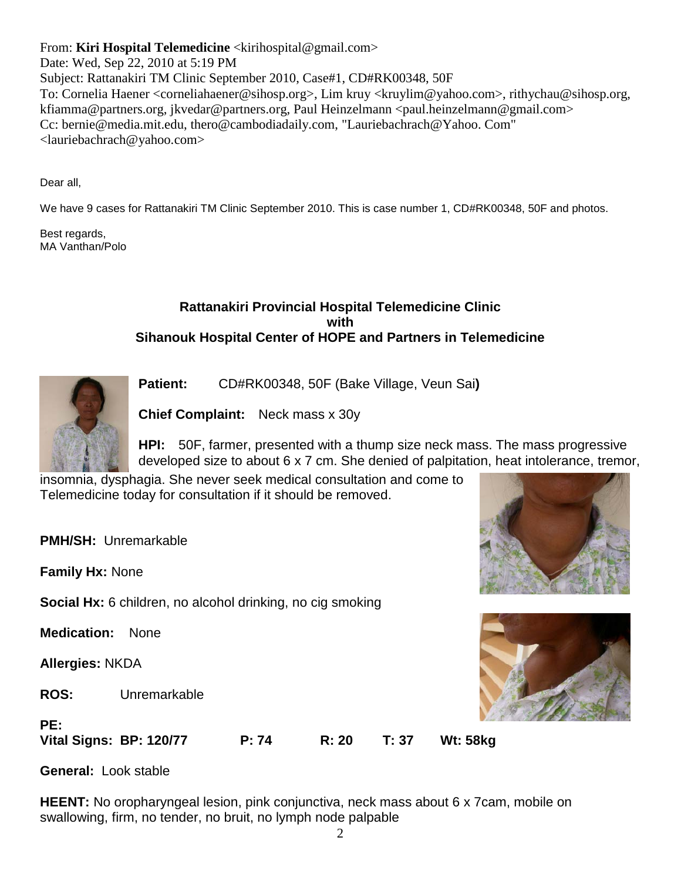From: **Kiri Hospital Telemedicine** <kirihospital@gmail.com>

Date: Wed, Sep 22, 2010 at 5:19 PM Subject: Rattanakiri TM Clinic September 2010, Case#1, CD#RK00348, 50F To: Cornelia Haener <corneliahaener@sihosp.org>, Lim kruy <kruylim@yahoo.com>, rithychau@sihosp.org, kfiamma@partners.org, jkvedar@partners.org, Paul Heinzelmann <paul.heinzelmann@gmail.com> Cc: bernie@media.mit.edu, thero@cambodiadaily.com, "Lauriebachrach@Yahoo. Com" <lauriebachrach@yahoo.com>

Dear all,

We have 9 cases for Rattanakiri TM Clinic September 2010. This is case number 1, CD#RK00348, 50F and photos.

Best regards, MA Vanthan/Polo

# **Rattanakiri Provincial Hospital Telemedicine Clinic with Sihanouk Hospital Center of HOPE and Partners in Telemedicine**



**Patient:** CD#RK00348, 50F (Bake Village, Veun Sai**)** 

**Chief Complaint:** Neck mass x 30y

**HPI:** 50F, farmer, presented with a thump size neck mass. The mass progressive developed size to about 6 x 7 cm. She denied of palpitation, heat intolerance, tremor,

insomnia, dysphagia. She never seek medical consultation and come to Telemedicine today for consultation if it should be removed.

**PMH/SH:** Unremarkable

**Family Hx:** None

**Social Hx:** 6 children, no alcohol drinking, no cig smoking

**Medication:** None

**Allergies:** NKDA

**PE:**

**ROS:** Unremarkable





**General:** Look stable

**HEENT:** No oropharyngeal lesion, pink conjunctiva, neck mass about 6 x 7 cam, mobile on swallowing, firm, no tender, no bruit, no lymph node palpable

**Vital Signs: BP: 120/77 P: 74 R: 20 T: 37 Wt: 58kg**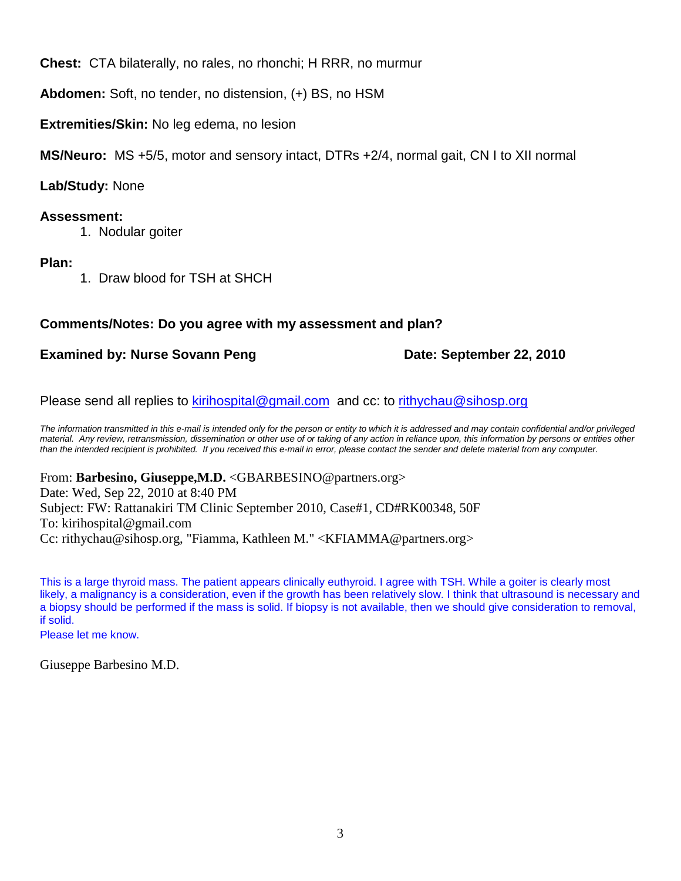**Chest:** CTA bilaterally, no rales, no rhonchi; H RRR, no murmur

**Abdomen:** Soft, no tender, no distension, (+) BS, no HSM

**Extremities/Skin:** No leg edema, no lesion

**MS/Neuro:** MS +5/5, motor and sensory intact, DTRs +2/4, normal gait, CN I to XII normal

**Lab/Study:** None

# **Assessment:**

1. Nodular goiter

# **Plan:**

1. Draw blood for TSH at SHCH

# **Comments/Notes: Do you agree with my assessment and plan?**

# **Examined by: Nurse Sovann Peng Date: September 22, 2010**

Please send all replies to [kirihospital@gmail.com](mailto:kirihospital@gmail.com) and cc: to [rithychau@sihosp.org](mailto:rithychau@sihosp.org)

*The information transmitted in this e-mail is intended only for the person or entity to which it is addressed and may contain confidential and/or privileged material. Any review, retransmission, dissemination or other use of or taking of any action in reliance upon, this information by persons or entities other than the intended recipient is prohibited. If you received this e-mail in error, please contact the sender and delete material from any computer.*

From: **Barbesino, Giuseppe,M.D.** <GBARBESINO@partners.org> Date: Wed, Sep 22, 2010 at 8:40 PM Subject: FW: Rattanakiri TM Clinic September 2010, Case#1, CD#RK00348, 50F To: kirihospital@gmail.com Cc: rithychau@sihosp.org, "Fiamma, Kathleen M." <KFIAMMA@partners.org>

This is a large thyroid mass. The patient appears clinically euthyroid. I agree with TSH. While a goiter is clearly most likely, a malignancy is a consideration, even if the growth has been relatively slow. I think that ultrasound is necessary and a biopsy should be performed if the mass is solid. If biopsy is not available, then we should give consideration to removal, if solid.

Please let me know.

Giuseppe Barbesino M.D.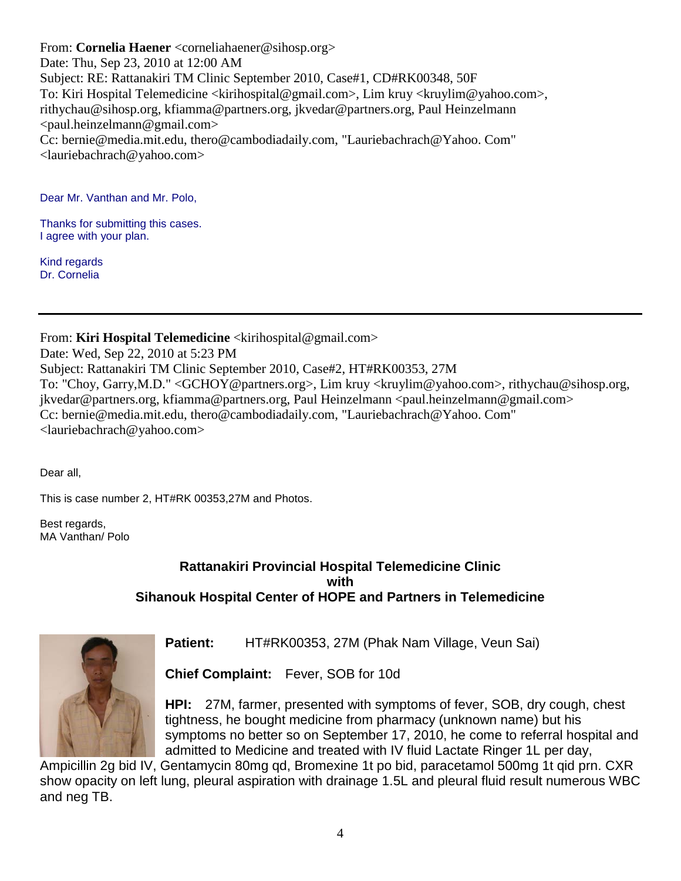From: **Cornelia Haener** <corneliahaener@sihosp.org> Date: Thu, Sep 23, 2010 at 12:00 AM Subject: RE: Rattanakiri TM Clinic September 2010, Case#1, CD#RK00348, 50F To: Kiri Hospital Telemedicine <kirihospital@gmail.com>, Lim kruy <kruylim@yahoo.com>, rithychau@sihosp.org, kfiamma@partners.org, jkvedar@partners.org, Paul Heinzelmann <paul.heinzelmann@gmail.com> Cc: bernie@media.mit.edu, thero@cambodiadaily.com, "Lauriebachrach@Yahoo. Com" <lauriebachrach@yahoo.com>

Dear Mr. Vanthan and Mr. Polo,

Thanks for submitting this cases. I agree with your plan.

Kind regards Dr. Cornelia

From: **Kiri Hospital Telemedicine** <kirihospital@gmail.com>

Date: Wed, Sep 22, 2010 at 5:23 PM Subject: Rattanakiri TM Clinic September 2010, Case#2, HT#RK00353, 27M To: "Choy, Garry,M.D." <GCHOY@partners.org>, Lim kruy <kruylim@yahoo.com>, rithychau@sihosp.org, jkvedar@partners.org, kfiamma@partners.org, Paul Heinzelmann <paul.heinzelmann@gmail.com> Cc: bernie@media.mit.edu, thero@cambodiadaily.com, "Lauriebachrach@Yahoo. Com" <lauriebachrach@yahoo.com>

Dear all,

This is case number 2, HT#RK 00353,27M and Photos.

Best regards, MA Vanthan/ Polo

# **Rattanakiri Provincial Hospital Telemedicine Clinic with Sihanouk Hospital Center of HOPE and Partners in Telemedicine**



**Patient:** HT#RK00353, 27M (Phak Nam Village, Veun Sai)

**Chief Complaint:** Fever, SOB for 10d

**HPI:** 27M, farmer, presented with symptoms of fever, SOB, dry cough, chest tightness, he bought medicine from pharmacy (unknown name) but his symptoms no better so on September 17, 2010, he come to referral hospital and admitted to Medicine and treated with IV fluid Lactate Ringer 1L per day,

Ampicillin 2g bid IV, Gentamycin 80mg qd, Bromexine 1t po bid, paracetamol 500mg 1t qid prn. CXR show opacity on left lung, pleural aspiration with drainage 1.5L and pleural fluid result numerous WBC and neg TB.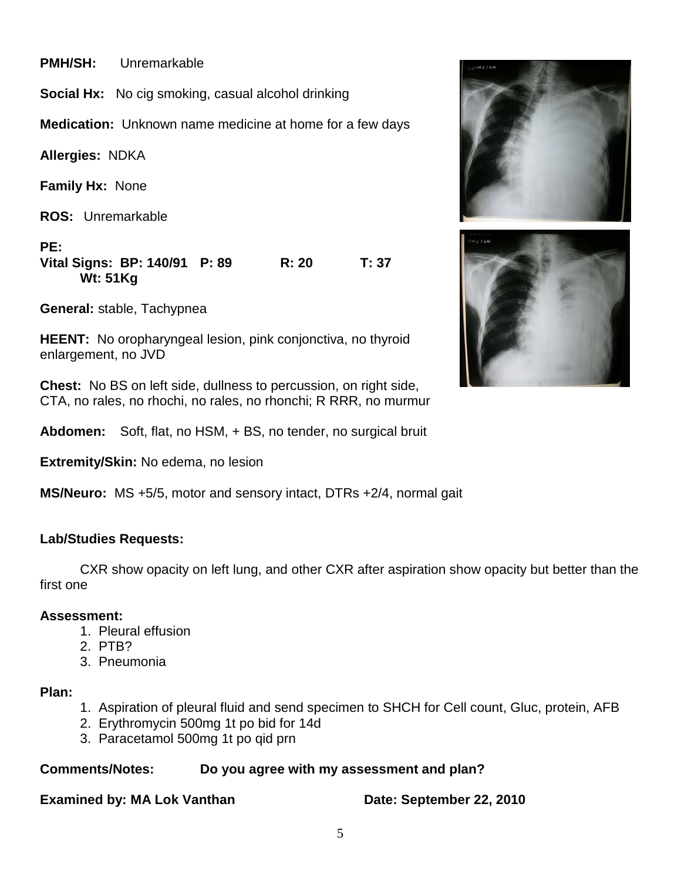**PMH/SH:** Unremarkable

**Social Hx:** No cig smoking, casual alcohol drinking

**Medication:** Unknown name medicine at home for a few days

**Allergies:** NDKA

**Family Hx:** None

**ROS:** Unremarkable

**PE:**

**Vital Signs: BP: 140/91 P: 89 R: 20 T: 37 Wt: 51Kg**

**General:** stable, Tachypnea

**HEENT:** No oropharyngeal lesion, pink conjonctiva, no thyroid enlargement, no JVD

**Chest:** No BS on left side, dullness to percussion, on right side, CTA, no rales, no rhochi, no rales, no rhonchi; R RRR, no murmur

**Abdomen:** Soft, flat, no HSM, + BS, no tender, no surgical bruit

**Extremity/Skin:** No edema, no lesion

**MS/Neuro:** MS +5/5, motor and sensory intact, DTRs +2/4, normal gait

# **Lab/Studies Requests:**

CXR show opacity on left lung, and other CXR after aspiration show opacity but better than the first one

### **Assessment:**

- 1. Pleural effusion
- 2. PTB?
- 3. Pneumonia

# **Plan:**

- 1. Aspiration of pleural fluid and send specimen to SHCH for Cell count, Gluc, protein, AFB
- 2. Erythromycin 500mg 1t po bid for 14d
- 3. Paracetamol 500mg 1t po qid prn

# **Comments/Notes: Do you agree with my assessment and plan?**

# **Examined by: MA Lok Vanthan Date: September 22, 2010**

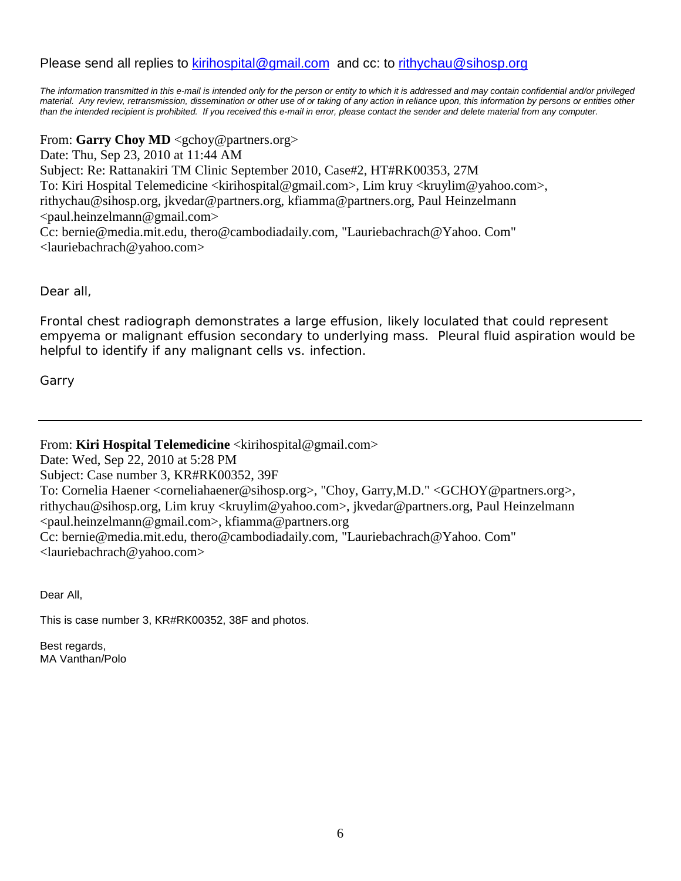# Please send all replies to [kirihospital@gmail.com](mailto:kirihospital@gmail.com) and cc: to [rithychau@sihosp.org](mailto:rithychau@sihosp.org)

The information transmitted in this e-mail is intended only for the person or entity to which it is addressed and may contain confidential and/or privileged material. Any review, retransmission, dissemination or other use of or taking of any action in reliance upon, this information by persons or entities other *than the intended recipient is prohibited. If you received this e-mail in error, please contact the sender and delete material from any computer.*

From: **Garry Choy MD** <gchoy@partners.org> Date: Thu, Sep 23, 2010 at 11:44 AM Subject: Re: Rattanakiri TM Clinic September 2010, Case#2, HT#RK00353, 27M To: Kiri Hospital Telemedicine <kirihospital@gmail.com>, Lim kruy <kruylim@yahoo.com>, rithychau@sihosp.org, jkvedar@partners.org, kfiamma@partners.org, Paul Heinzelmann  $\langle$ paul.heinzelmann@gmail.com> Cc: bernie@media.mit.edu, thero@cambodiadaily.com, "Lauriebachrach@Yahoo. Com" <lauriebachrach@yahoo.com>

Dear all,

Frontal chest radiograph demonstrates a large effusion, likely loculated that could represent empyema or malignant effusion secondary to underlying mass. Pleural fluid aspiration would be helpful to identify if any malignant cells vs. infection.

Garry

From: **Kiri Hospital Telemedicine** <kirihospital@gmail.com>

Date: Wed, Sep 22, 2010 at 5:28 PM

Subject: Case number 3, KR#RK00352, 39F

To: Cornelia Haener <corneliahaener@sihosp.org>, "Choy, Garry,M.D." <GCHOY@partners.org>, rithychau@sihosp.org, Lim kruy <kruylim@yahoo.com>, jkvedar@partners.org, Paul Heinzelmann <paul.heinzelmann@gmail.com>, kfiamma@partners.org

Cc: bernie@media.mit.edu, thero@cambodiadaily.com, "Lauriebachrach@Yahoo. Com" <lauriebachrach@yahoo.com>

Dear All,

This is case number 3, KR#RK00352, 38F and photos.

Best regards, MA Vanthan/Polo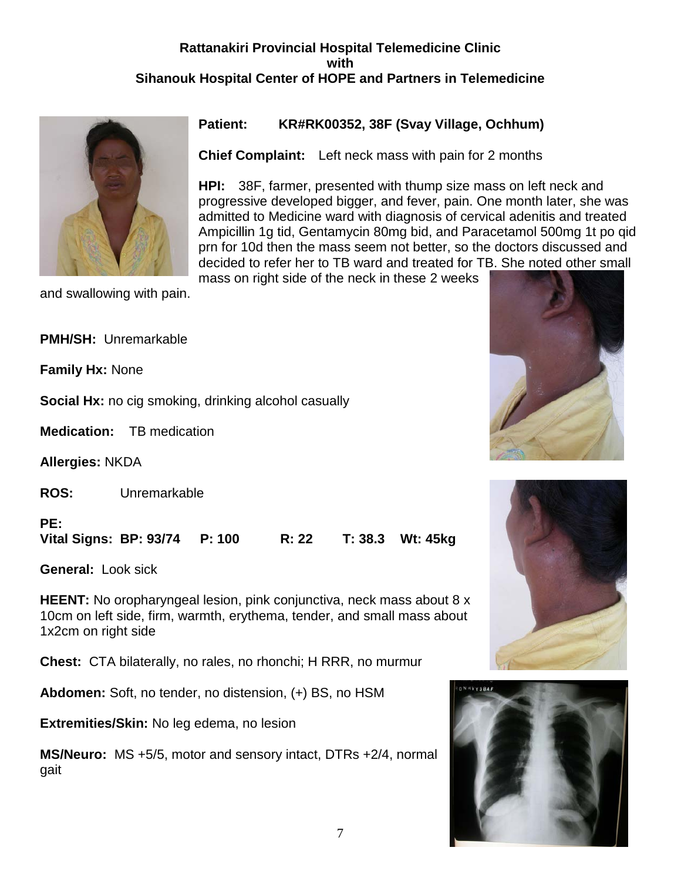# **Rattanakiri Provincial Hospital Telemedicine Clinic with Sihanouk Hospital Center of HOPE and Partners in Telemedicine**



and swallowing with pain.

# **Patient: KR#RK00352, 38F (Svay Village, Ochhum)**

**Chief Complaint:** Left neck mass with pain for 2 months

**HPI:** 38F, farmer, presented with thump size mass on left neck and progressive developed bigger, and fever, pain. One month later, she was admitted to Medicine ward with diagnosis of cervical adenitis and treated Ampicillin 1g tid, Gentamycin 80mg bid, and Paracetamol 500mg 1t po qid prn for 10d then the mass seem not better, so the doctors discussed and decided to refer her to TB ward and treated for TB. She noted other small

mass on right side of the neck in these 2 weeks

**PMH/SH:** Unremarkable

**Family Hx:** None

**Social Hx:** no cig smoking, drinking alcohol casually

**Medication:** TB medication

**Allergies:** NKDA

**ROS:** Unremarkable

**PE:**

**Vital Signs: BP: 93/74 P: 100 R: 22 T: 38.3 Wt: 45kg**

**General:** Look sick

**HEENT:** No oropharyngeal lesion, pink conjunctiva, neck mass about 8 x 10cm on left side, firm, warmth, erythema, tender, and small mass about 1x2cm on right side

**Chest:** CTA bilaterally, no rales, no rhonchi; H RRR, no murmur

**Abdomen:** Soft, no tender, no distension, (+) BS, no HSM

**Extremities/Skin:** No leg edema, no lesion

**MS/Neuro:** MS +5/5, motor and sensory intact, DTRs +2/4, normal gait





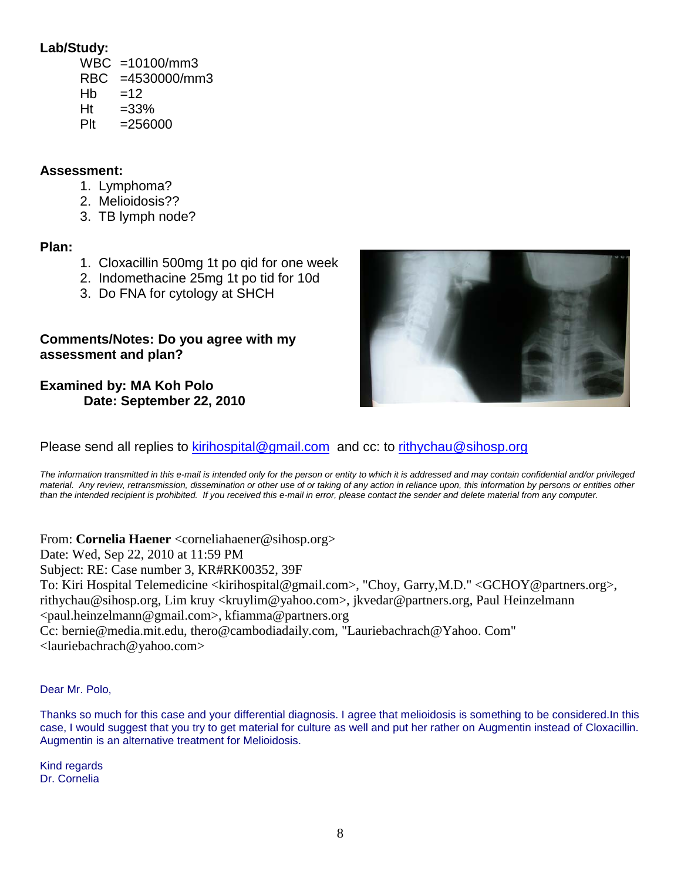# **Lab/Study:**

- WBC =10100/mm3 RBC =4530000/mm3  $Hb = 12$
- $Ht = 33%$
- $Plt = 256000$

# **Assessment:**

- 1. Lymphoma?
- 2. Melioidosis??
- 3. TB lymph node?

# **Plan:**

- 1. Cloxacillin 500mg 1t po qid for one week
- 2. Indomethacine 25mg 1t po tid for 10d
- 3. Do FNA for cytology at SHCH

# **Comments/Notes: Do you agree with my assessment and plan?**

**Examined by: MA Koh Polo Date: September 22, 2010**



Please send all replies to [kirihospital@gmail.com](mailto:kirihospital@gmail.com) and cc: to [rithychau@sihosp.org](mailto:rithychau@sihosp.org)

*The information transmitted in this e-mail is intended only for the person or entity to which it is addressed and may contain confidential and/or privileged material. Any review, retransmission, dissemination or other use of or taking of any action in reliance upon, this information by persons or entities other than the intended recipient is prohibited. If you received this e-mail in error, please contact the sender and delete material from any computer.*

From: **Cornelia Haener** <corneliahaener@sihosp.org> Date: Wed, Sep 22, 2010 at 11:59 PM Subject: RE: Case number 3, KR#RK00352, 39F To: Kiri Hospital Telemedicine <kirihospital@gmail.com>, "Choy, Garry,M.D." <GCHOY@partners.org>, rithychau@sihosp.org, Lim kruy <kruylim@yahoo.com>, jkvedar@partners.org, Paul Heinzelmann <paul.heinzelmann@gmail.com>, kfiamma@partners.org Cc: bernie@media.mit.edu, thero@cambodiadaily.com, "Lauriebachrach@Yahoo. Com" <lauriebachrach@yahoo.com>

Dear Mr. Polo,

Thanks so much for this case and your differential diagnosis. I agree that melioidosis is something to be considered.In this case, I would suggest that you try to get material for culture as well and put her rather on Augmentin instead of Cloxacillin. Augmentin is an alternative treatment for Melioidosis.

Kind regards Dr. Cornelia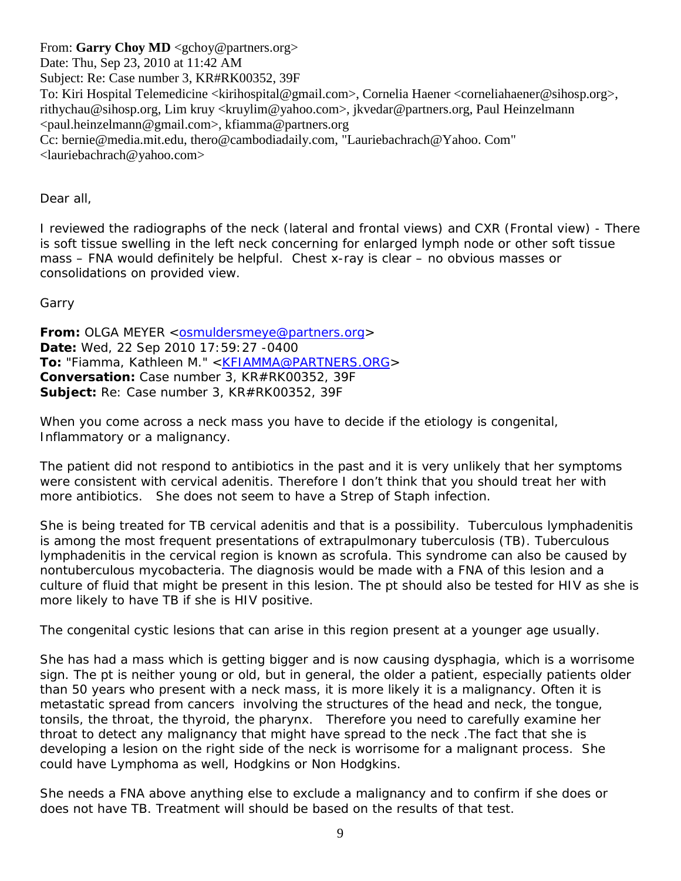From: **Garry Choy MD** <gchoy@partners.org> Date: Thu, Sep 23, 2010 at 11:42 AM Subject: Re: Case number 3, KR#RK00352, 39F To: Kiri Hospital Telemedicine <kirihospital@gmail.com>, Cornelia Haener <corneliahaener@sihosp.org>, rithychau@sihosp.org, Lim kruy <kruylim@yahoo.com>, jkvedar@partners.org, Paul Heinzelmann <paul.heinzelmann@gmail.com>, kfiamma@partners.org Cc: bernie@media.mit.edu, thero@cambodiadaily.com, "Lauriebachrach@Yahoo. Com" <lauriebachrach@yahoo.com>

Dear all,

I reviewed the radiographs of the neck (lateral and frontal views) and CXR (Frontal view) - There is soft tissue swelling in the left neck concerning for enlarged lymph node or other soft tissue mass – FNA would definitely be helpful. Chest x-ray is clear – no obvious masses or consolidations on provided view.

Garry

**From:** OLGA MEYER < osmuldersmeye@partners.org > **Date:** Wed, 22 Sep 2010 17:59:27 -0400 **To:** "Fiamma, Kathleen M." [<KFIAMMA@PARTNERS.ORG>](http://KFIAMMA@partners.org/) **Conversation:** Case number 3, KR#RK00352, 39F **Subject:** Re: Case number 3, KR#RK00352, 39F

When you come across a neck mass you have to decide if the etiology is congenital, Inflammatory or a malignancy.

The patient did not respond to antibiotics in the past and it is very unlikely that her symptoms were consistent with cervical adenitis. Therefore I don't think that you should treat her with more antibiotics. She does not seem to have a Strep of Staph infection.

She is being treated for TB cervical adenitis and that is a possibility. Tuberculous lymphadenitis is among the most frequent presentations of extrapulmonary tuberculosis (TB). Tuberculous lymphadenitis in the cervical region is known as scrofula. This syndrome can also be caused by nontuberculous mycobacteria. The diagnosis would be made with a FNA of this lesion and a culture of fluid that might be present in this lesion. The pt should also be tested for HIV as she is more likely to have TB if she is HIV positive.

The congenital cystic lesions that can arise in this region present at a younger age usually.

She has had a mass which is getting bigger and is now causing dysphagia, which is a worrisome sign. The pt is neither young or old, but in general, the older a patient, especially patients older than 50 years who present with a neck mass, it is more likely it is a malignancy. Often it is metastatic spread from cancers involving the structures of the head and neck, the tongue, tonsils, the throat, the thyroid, the pharynx. Therefore you need to carefully examine her throat to detect any malignancy that might have spread to the neck .The fact that she is developing a lesion on the right side of the neck is worrisome for a malignant process. She could have Lymphoma as well, Hodgkins or Non Hodgkins.

She needs a FNA above anything else to exclude a malignancy and to confirm if she does or does not have TB. Treatment will should be based on the results of that test.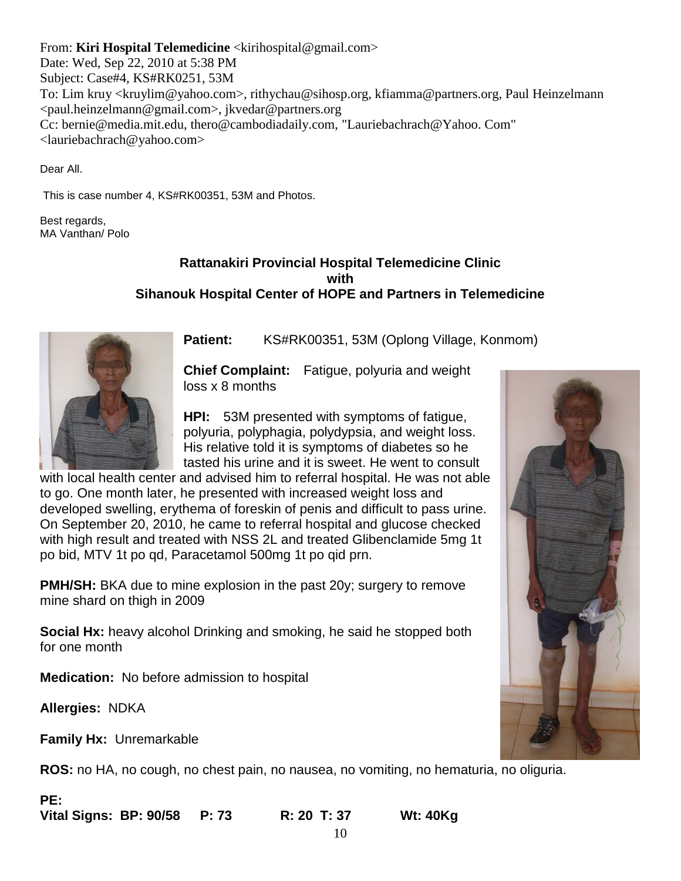From: **Kiri Hospital Telemedicine** <kirihospital@gmail.com> Date: Wed, Sep 22, 2010 at 5:38 PM Subject: Case#4, KS#RK0251, 53M To: Lim kruy <kruylim@yahoo.com>, rithychau@sihosp.org, kfiamma@partners.org, Paul Heinzelmann <paul.heinzelmann@gmail.com>, jkvedar@partners.org Cc: bernie@media.mit.edu, thero@cambodiadaily.com, "Lauriebachrach@Yahoo. Com" <lauriebachrach@yahoo.com>

Dear All.

This is case number 4, KS#RK00351, 53M and Photos.

Best regards, MA Vanthan/ Polo

# **Rattanakiri Provincial Hospital Telemedicine Clinic with Sihanouk Hospital Center of HOPE and Partners in Telemedicine**



Patient: KS#RK00351, 53M (Oplong Village, Konmom)

**Chief Complaint:** Fatigue, polyuria and weight loss x 8 months

**HPI:** 53M presented with symptoms of fatigue, polyuria, polyphagia, polydypsia, and weight loss. His relative told it is symptoms of diabetes so he tasted his urine and it is sweet. He went to consult

with local health center and advised him to referral hospital. He was not able to go. One month later, he presented with increased weight loss and developed swelling, erythema of foreskin of penis and difficult to pass urine. On September 20, 2010, he came to referral hospital and glucose checked with high result and treated with NSS 2L and treated Glibenclamide 5mg 1t po bid, MTV 1t po qd, Paracetamol 500mg 1t po qid prn.

**PMH/SH:** BKA due to mine explosion in the past 20y; surgery to remove mine shard on thigh in 2009

**Social Hx:** heavy alcohol Drinking and smoking, he said he stopped both for one month

**Medication:** No before admission to hospital

**Allergies:** NDKA

**Family Hx:** Unremarkable

**ROS:** no HA, no cough, no chest pain, no nausea, no vomiting, no hematuria, no oliguria.

**PE: Vital Signs: BP: 90/58 P: 73 R: 20 T: 37 Wt: 40Kg**

10

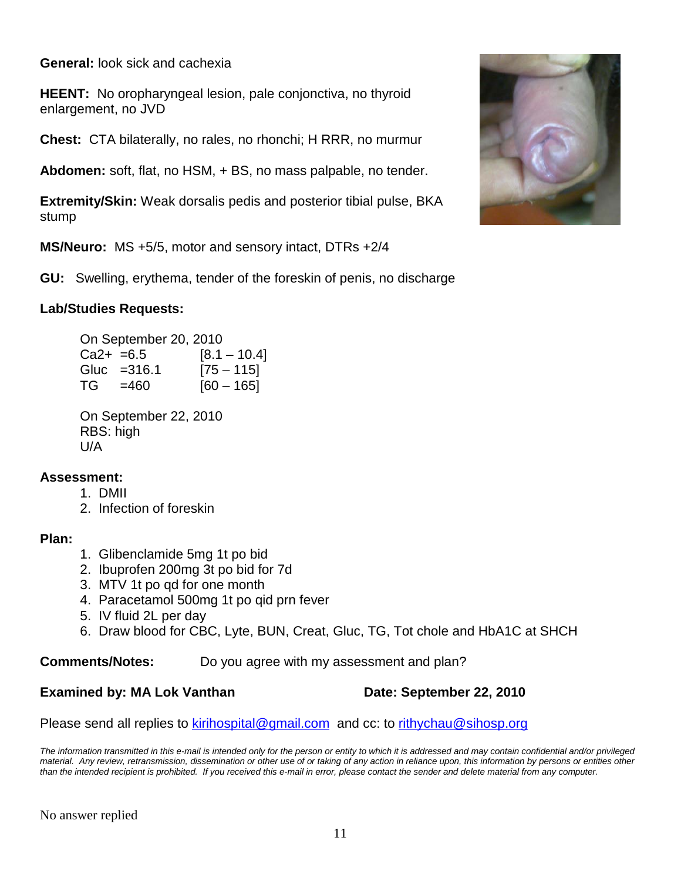**General:** look sick and cachexia

**HEENT:** No oropharyngeal lesion, pale conjonctiva, no thyroid enlargement, no JVD

**Chest:** CTA bilaterally, no rales, no rhonchi; H RRR, no murmur

**Abdomen:** soft, flat, no HSM, + BS, no mass palpable, no tender.

**Extremity/Skin:** Weak dorsalis pedis and posterior tibial pulse, BKA stump

**MS/Neuro:** MS +5/5, motor and sensory intact, DTRs +2/4

**GU:** Swelling, erythema, tender of the foreskin of penis, no discharge

# **Lab/Studies Requests:**

On September 20, 2010  $Ca2+ = 6.5$  [8.1 – 10.4] Gluc =  $316.1$  [75 – 115]  $TG = 460$  [60 – 165]

On September 22, 2010 RBS: high U/A

# **Assessment:**

- 1. DMII
- 2. Infection of foreskin

# **Plan:**

- 1. Glibenclamide 5mg 1t po bid
- 2. Ibuprofen 200mg 3t po bid for 7d
- 3. MTV 1t po qd for one month
- 4. Paracetamol 500mg 1t po qid prn fever
- 5. IV fluid 2L per day
- 6. Draw blood for CBC, Lyte, BUN, Creat, Gluc, TG, Tot chole and HbA1C at SHCH

**Comments/Notes:** Do you agree with my assessment and plan?

# **Examined by: MA Lok Vanthan Date: September 22, 2010**

Please send all replies to [kirihospital@gmail.com](mailto:kirihospital@gmail.com) and cc: to [rithychau@sihosp.org](mailto:rithychau@sihosp.org)

*The information transmitted in this e-mail is intended only for the person or entity to which it is addressed and may contain confidential and/or privileged material. Any review, retransmission, dissemination or other use of or taking of any action in reliance upon, this information by persons or entities other than the intended recipient is prohibited. If you received this e-mail in error, please contact the sender and delete material from any computer.*

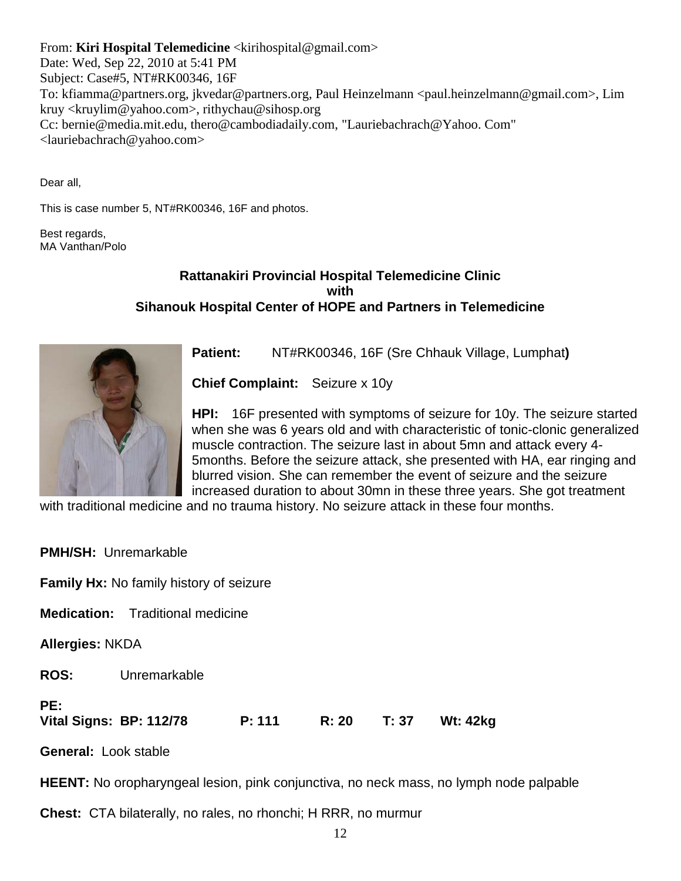From: **Kiri Hospital Telemedicine** <kirihospital@gmail.com> Date: Wed, Sep 22, 2010 at 5:41 PM Subject: Case#5, NT#RK00346, 16F To: kfiamma@partners.org, jkvedar@partners.org, Paul Heinzelmann <paul.heinzelmann@gmail.com>, Lim kruy <kruylim@yahoo.com>, rithychau@sihosp.org Cc: bernie@media.mit.edu, thero@cambodiadaily.com, "Lauriebachrach@Yahoo. Com" <lauriebachrach@yahoo.com>

Dear all,

This is case number 5, NT#RK00346, 16F and photos.

Best regards, MA Vanthan/Polo

# **Rattanakiri Provincial Hospital Telemedicine Clinic with Sihanouk Hospital Center of HOPE and Partners in Telemedicine**



**Patient:** NT#RK00346, 16F (Sre Chhauk Village, Lumphat**)** 

**Chief Complaint:** Seizure x 10y

**HPI:** 16F presented with symptoms of seizure for 10y. The seizure started when she was 6 years old and with characteristic of tonic-clonic generalized muscle contraction. The seizure last in about 5mn and attack every 4- 5months. Before the seizure attack, she presented with HA, ear ringing and blurred vision. She can remember the event of seizure and the seizure increased duration to about 30mn in these three years. She got treatment

with traditional medicine and no trauma history. No seizure attack in these four months.

|                                       | <b>PMH/SH: Unremarkable</b>                    |        |       |       |                 |  |
|---------------------------------------|------------------------------------------------|--------|-------|-------|-----------------|--|
|                                       | <b>Family Hx:</b> No family history of seizure |        |       |       |                 |  |
|                                       | <b>Medication:</b> Traditional medicine        |        |       |       |                 |  |
| <b>Allergies: NKDA</b>                |                                                |        |       |       |                 |  |
| <b>ROS:</b>                           | Unremarkable                                   |        |       |       |                 |  |
| PE:<br><b>Vital Signs: BP: 112/78</b> |                                                | P: 111 | R: 20 | T: 37 | <b>Wt: 42kg</b> |  |
| <b>General: Look stable</b>           |                                                |        |       |       |                 |  |

**HEENT:** No oropharyngeal lesion, pink conjunctiva, no neck mass, no lymph node palpable

**Chest:** CTA bilaterally, no rales, no rhonchi; H RRR, no murmur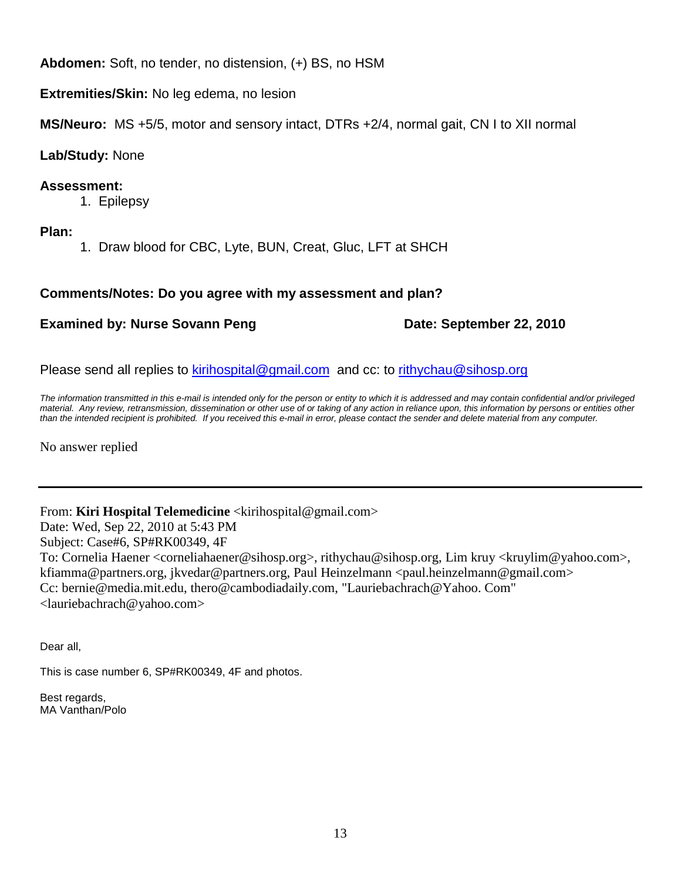**Abdomen:** Soft, no tender, no distension, (+) BS, no HSM

**Extremities/Skin:** No leg edema, no lesion

**MS/Neuro:** MS +5/5, motor and sensory intact, DTRs +2/4, normal gait, CN I to XII normal

# **Lab/Study:** None

# **Assessment:**

1. Epilepsy

**Plan:**

1. Draw blood for CBC, Lyte, BUN, Creat, Gluc, LFT at SHCH

# **Comments/Notes: Do you agree with my assessment and plan?**

# **Examined by: Nurse Sovann Peng Date: September 22, 2010**

Please send all replies to [kirihospital@gmail.com](mailto:kirihospital@gmail.com) and cc: to [rithychau@sihosp.org](mailto:rithychau@sihosp.org)

*The information transmitted in this e-mail is intended only for the person or entity to which it is addressed and may contain confidential and/or privileged material. Any review, retransmission, dissemination or other use of or taking of any action in reliance upon, this information by persons or entities other than the intended recipient is prohibited. If you received this e-mail in error, please contact the sender and delete material from any computer.*

No answer replied

From: **Kiri Hospital Telemedicine** <kirihospital@gmail.com> Date: Wed, Sep 22, 2010 at 5:43 PM Subject: Case#6, SP#RK00349, 4F To: Cornelia Haener <corneliahaener@sihosp.org>, rithychau@sihosp.org, Lim kruy <kruylim@yahoo.com>, kfiamma@partners.org, jkvedar@partners.org, Paul Heinzelmann <paul.heinzelmann@gmail.com> Cc: bernie@media.mit.edu, thero@cambodiadaily.com, "Lauriebachrach@Yahoo. Com" <lauriebachrach@yahoo.com>

Dear all,

This is case number 6, SP#RK00349, 4F and photos.

Best regards, MA Vanthan/Polo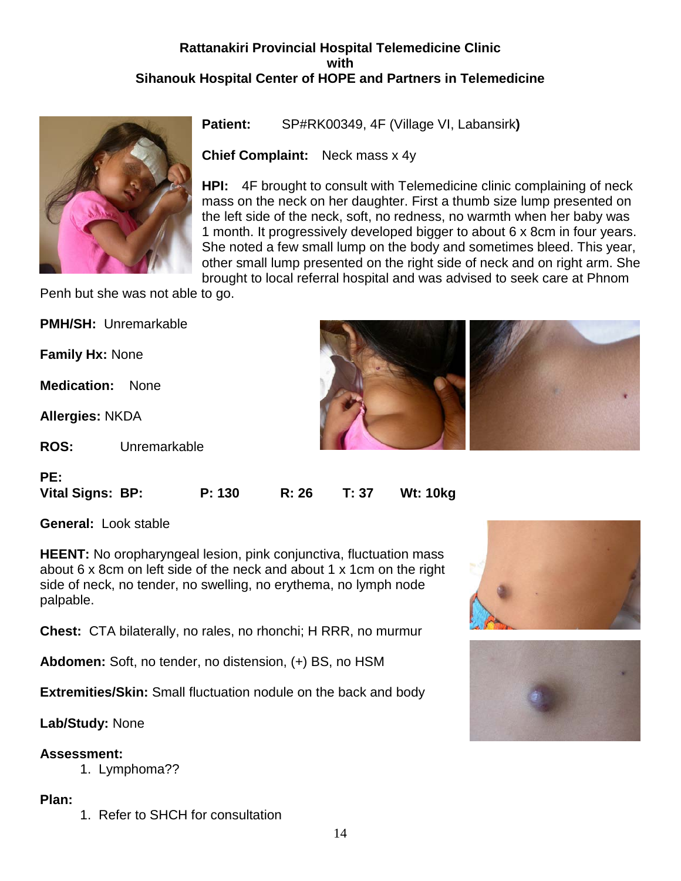# **Rattanakiri Provincial Hospital Telemedicine Clinic with Sihanouk Hospital Center of HOPE and Partners in Telemedicine**



**Patient:** SP#RK00349, 4F (Village VI, Labansirk**)** 

**Chief Complaint:** Neck mass x 4y

**HPI:** 4F brought to consult with Telemedicine clinic complaining of neck mass on the neck on her daughter. First a thumb size lump presented on the left side of the neck, soft, no redness, no warmth when her baby was 1 month. It progressively developed bigger to about 6 x 8cm in four years. She noted a few small lump on the body and sometimes bleed. This year, other small lump presented on the right side of neck and on right arm. She brought to local referral hospital and was advised to seek care at Phnom

Penh but she was not able to go.

|                        | <b>PMH/SH: Unremarkable</b> |  |
|------------------------|-----------------------------|--|
| <b>Family Hx: None</b> |                             |  |
| <b>Medication:</b>     | <b>None</b>                 |  |
| <b>Allergies: NKDA</b> |                             |  |
| <b>ROS:</b>            | Unremarkable                |  |
| PE:                    |                             |  |

**General:** Look stable

**HEENT:** No oropharyngeal lesion, pink conjunctiva, fluctuation mass about 6 x 8cm on left side of the neck and about 1 x 1cm on the right side of neck, no tender, no swelling, no erythema, no lymph node palpable.

**Vital Signs: BP: P: 130 R: 26 T: 37 Wt: 10kg**

**Chest:** CTA bilaterally, no rales, no rhonchi; H RRR, no murmur

**Abdomen:** Soft, no tender, no distension, (+) BS, no HSM

**Extremities/Skin:** Small fluctuation nodule on the back and body

**Lab/Study:** None

**Assessment:**

1. Lymphoma??

**Plan:**

1. Refer to SHCH for consultation



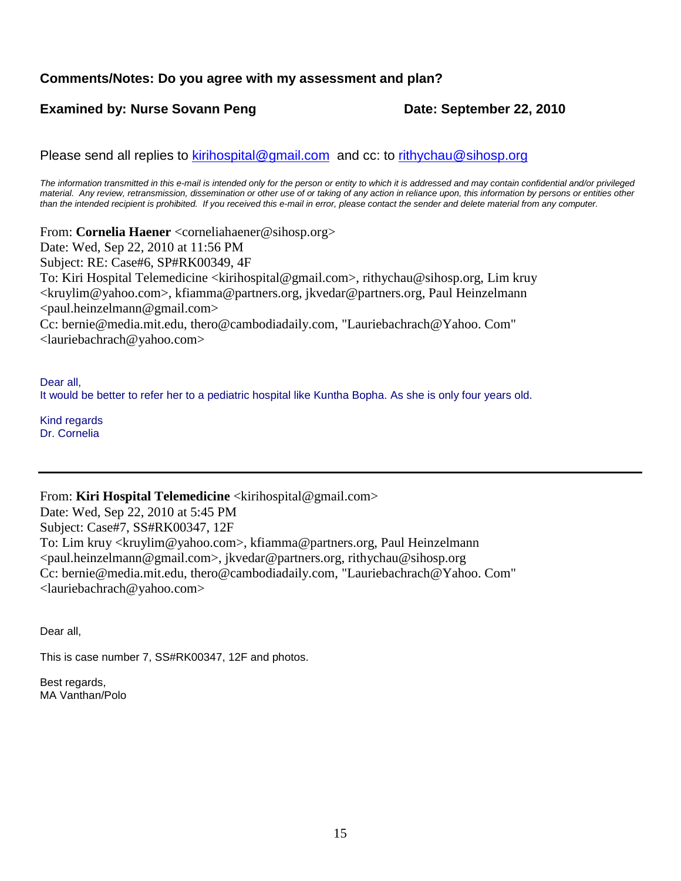# **Comments/Notes: Do you agree with my assessment and plan?**

# **Examined by: Nurse Sovann Peng Date: September 22, 2010**

Please send all replies to [kirihospital@gmail.com](mailto:kirihospital@gmail.com) and cc: to [rithychau@sihosp.org](mailto:rithychau@sihosp.org)

*The information transmitted in this e-mail is intended only for the person or entity to which it is addressed and may contain confidential and/or privileged material. Any review, retransmission, dissemination or other use of or taking of any action in reliance upon, this information by persons or entities other than the intended recipient is prohibited. If you received this e-mail in error, please contact the sender and delete material from any computer.*

From: **Cornelia Haener** <corneliahaener@sihosp.org> Date: Wed, Sep 22, 2010 at 11:56 PM Subject: RE: Case#6, SP#RK00349, 4F To: Kiri Hospital Telemedicine <kirihospital@gmail.com>, rithychau@sihosp.org, Lim kruy <kruylim@yahoo.com>, kfiamma@partners.org, jkvedar@partners.org, Paul Heinzelmann <paul.heinzelmann@gmail.com> Cc: bernie@media.mit.edu, thero@cambodiadaily.com, "Lauriebachrach@Yahoo. Com" <lauriebachrach@yahoo.com>

Dear all, It would be better to refer her to a pediatric hospital like Kuntha Bopha. As she is only four years old.

Kind regards Dr. Cornelia

From: **Kiri Hospital Telemedicine** <kirihospital@gmail.com>

Date: Wed, Sep 22, 2010 at 5:45 PM Subject: Case#7, SS#RK00347, 12F To: Lim kruy <kruylim@yahoo.com>, kfiamma@partners.org, Paul Heinzelmann <paul.heinzelmann@gmail.com>, jkvedar@partners.org, rithychau@sihosp.org Cc: bernie@media.mit.edu, thero@cambodiadaily.com, "Lauriebachrach@Yahoo. Com" <lauriebachrach@yahoo.com>

Dear all,

This is case number 7, SS#RK00347, 12F and photos.

Best regards, MA Vanthan/Polo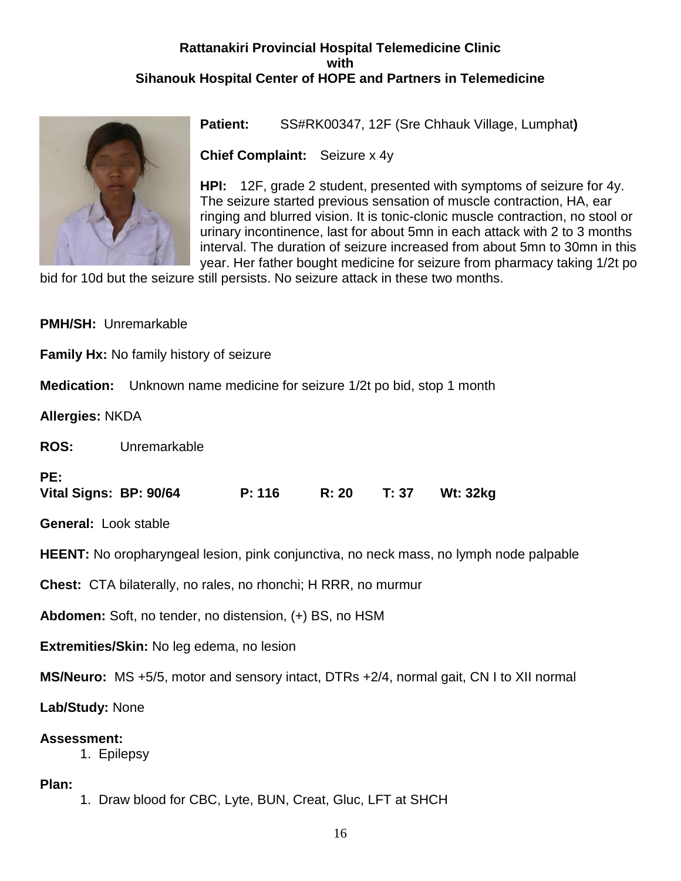# **Rattanakiri Provincial Hospital Telemedicine Clinic with Sihanouk Hospital Center of HOPE and Partners in Telemedicine**



**Patient:** SS#RK00347, 12F (Sre Chhauk Village, Lumphat**)** 

**Chief Complaint:** Seizure x 4y

**HPI:** 12F, grade 2 student, presented with symptoms of seizure for 4y. The seizure started previous sensation of muscle contraction, HA, ear ringing and blurred vision. It is tonic-clonic muscle contraction, no stool or urinary incontinence, last for about 5mn in each attack with 2 to 3 months interval. The duration of seizure increased from about 5mn to 30mn in this year. Her father bought medicine for seizure from pharmacy taking 1/2t po

bid for 10d but the seizure still persists. No seizure attack in these two months.

|                                                                                         | <b>PMH/SH: Unremarkable</b>                                             |        |              |  |                                                                                               |
|-----------------------------------------------------------------------------------------|-------------------------------------------------------------------------|--------|--------------|--|-----------------------------------------------------------------------------------------------|
|                                                                                         | <b>Family Hx: No family history of seizure</b>                          |        |              |  |                                                                                               |
|                                                                                         | Medication: Unknown name medicine for seizure 1/2t po bid, stop 1 month |        |              |  |                                                                                               |
| <b>Allergies: NKDA</b>                                                                  |                                                                         |        |              |  |                                                                                               |
|                                                                                         | <b>ROS:</b> Unremarkable                                                |        |              |  |                                                                                               |
| PE:<br>Vital Signs: BP: 90/64                                                           |                                                                         | P: 116 | <b>R: 20</b> |  | T: 37 Wt: 32kg                                                                                |
| <b>General: Look stable</b>                                                             |                                                                         |        |              |  |                                                                                               |
|                                                                                         |                                                                         |        |              |  | <b>HEENT:</b> No oropharyngeal lesion, pink conjunctiva, no neck mass, no lymph node palpable |
|                                                                                         | <b>Chest:</b> CTA bilaterally, no rales, no rhonchi; H RRR, no murmur   |        |              |  |                                                                                               |
| Abdomen: Soft, no tender, no distension, (+) BS, no HSM                                 |                                                                         |        |              |  |                                                                                               |
|                                                                                         | Extremities/Skin: No leg edema, no lesion                               |        |              |  |                                                                                               |
| MS/Neuro: MS +5/5, motor and sensory intact, DTRs +2/4, normal gait, CN I to XII normal |                                                                         |        |              |  |                                                                                               |
| Lab/Study: None                                                                         |                                                                         |        |              |  |                                                                                               |
| <b>Assessment:</b><br>1. Epilepsy                                                       |                                                                         |        |              |  |                                                                                               |
| Plan:                                                                                   |                                                                         |        |              |  |                                                                                               |

1. Draw blood for CBC, Lyte, BUN, Creat, Gluc, LFT at SHCH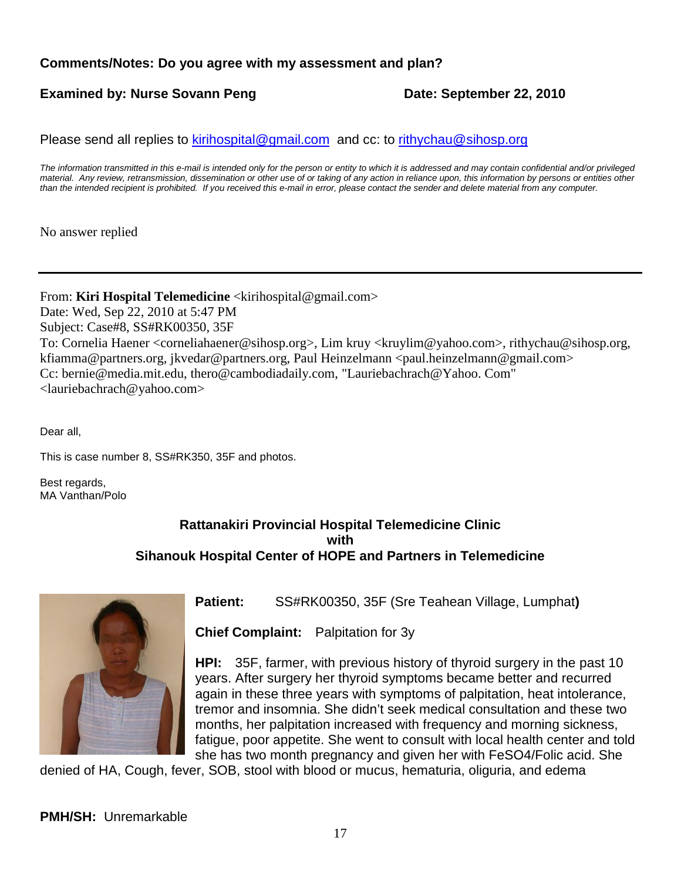# **Comments/Notes: Do you agree with my assessment and plan?**

# **Examined by: Nurse Sovann Peng Date: September 22, 2010**

Please send all replies to [kirihospital@gmail.com](mailto:kirihospital@gmail.com) and cc: to [rithychau@sihosp.org](mailto:rithychau@sihosp.org)

*The information transmitted in this e-mail is intended only for the person or entity to which it is addressed and may contain confidential and/or privileged material. Any review, retransmission, dissemination or other use of or taking of any action in reliance upon, this information by persons or entities other than the intended recipient is prohibited. If you received this e-mail in error, please contact the sender and delete material from any computer.*

No answer replied

### From: **Kiri Hospital Telemedicine** <kirihospital@gmail.com>

Date: Wed, Sep 22, 2010 at 5:47 PM Subject: Case#8, SS#RK00350, 35F To: Cornelia Haener <corneliahaener@sihosp.org>, Lim kruy <kruylim@yahoo.com>, rithychau@sihosp.org, kfiamma@partners.org, jkvedar@partners.org, Paul Heinzelmann <paul.heinzelmann@gmail.com> Cc: bernie@media.mit.edu, thero@cambodiadaily.com, "Lauriebachrach@Yahoo. Com" <lauriebachrach@yahoo.com>

Dear all,

This is case number 8, SS#RK350, 35F and photos.

Best regards, MA Vanthan/Polo

# **Rattanakiri Provincial Hospital Telemedicine Clinic with Sihanouk Hospital Center of HOPE and Partners in Telemedicine**



**Patient:** SS#RK00350, 35F (Sre Teahean Village, Lumphat**)** 

**Chief Complaint:** Palpitation for 3y

**HPI:** 35F, farmer, with previous history of thyroid surgery in the past 10 years. After surgery her thyroid symptoms became better and recurred again in these three years with symptoms of palpitation, heat intolerance, tremor and insomnia. She didn't seek medical consultation and these two months, her palpitation increased with frequency and morning sickness, fatigue, poor appetite. She went to consult with local health center and told she has two month pregnancy and given her with FeSO4/Folic acid. She

denied of HA, Cough, fever, SOB, stool with blood or mucus, hematuria, oliguria, and edema

**PMH/SH:** Unremarkable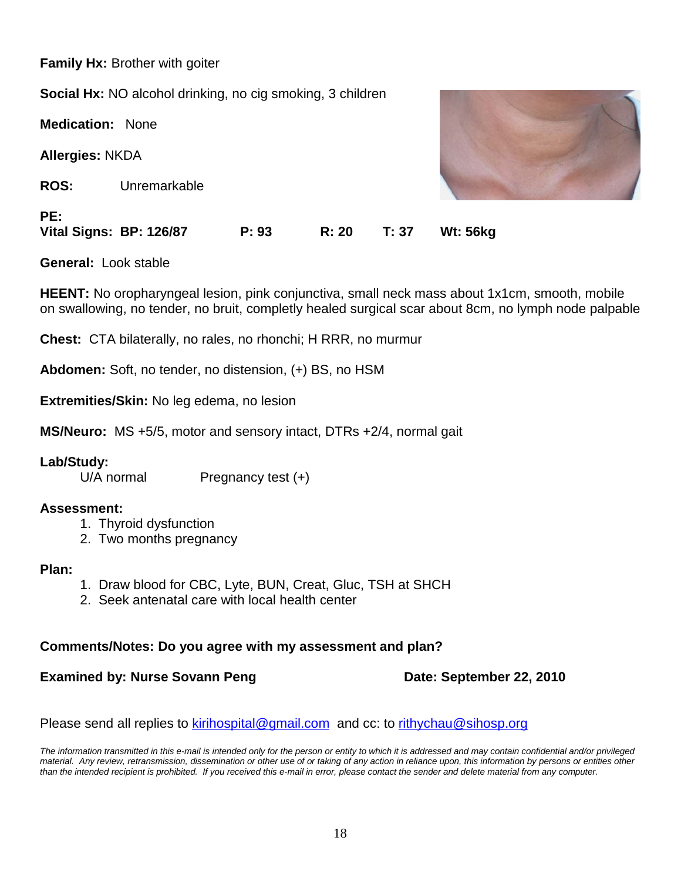**Family Hx:** Brother with goiter **Social Hx:** NO alcohol drinking, no cig smoking, 3 children **Medication:** None **Allergies:** NKDA **ROS:** Unremarkable **PE: Vital Signs: BP: 126/87 P: 93 R: 20 T: 37 Wt: 56kg**

**General:** Look stable

**HEENT:** No oropharyngeal lesion, pink conjunctiva, small neck mass about 1x1cm, smooth, mobile on swallowing, no tender, no bruit, completly healed surgical scar about 8cm, no lymph node palpable

**Chest:** CTA bilaterally, no rales, no rhonchi; H RRR, no murmur

**Abdomen:** Soft, no tender, no distension, (+) BS, no HSM

**Extremities/Skin:** No leg edema, no lesion

**MS/Neuro:** MS +5/5, motor and sensory intact, DTRs +2/4, normal gait

### **Lab/Study:**

 $U/A$  normal Pregnancy test  $(+)$ 

### **Assessment:**

- 1. Thyroid dysfunction
- 2. Two months pregnancy

#### **Plan:**

- 1. Draw blood for CBC, Lyte, BUN, Creat, Gluc, TSH at SHCH
- 2. Seek antenatal care with local health center

### **Comments/Notes: Do you agree with my assessment and plan?**

# **Examined by: Nurse Sovann Peng Date: September 22, 2010**

Please send all replies to [kirihospital@gmail.com](mailto:kirihospital@gmail.com) and cc: to [rithychau@sihosp.org](mailto:rithychau@sihosp.org)

*The information transmitted in this e-mail is intended only for the person or entity to which it is addressed and may contain confidential and/or privileged material. Any review, retransmission, dissemination or other use of or taking of any action in reliance upon, this information by persons or entities other than the intended recipient is prohibited. If you received this e-mail in error, please contact the sender and delete material from any computer.*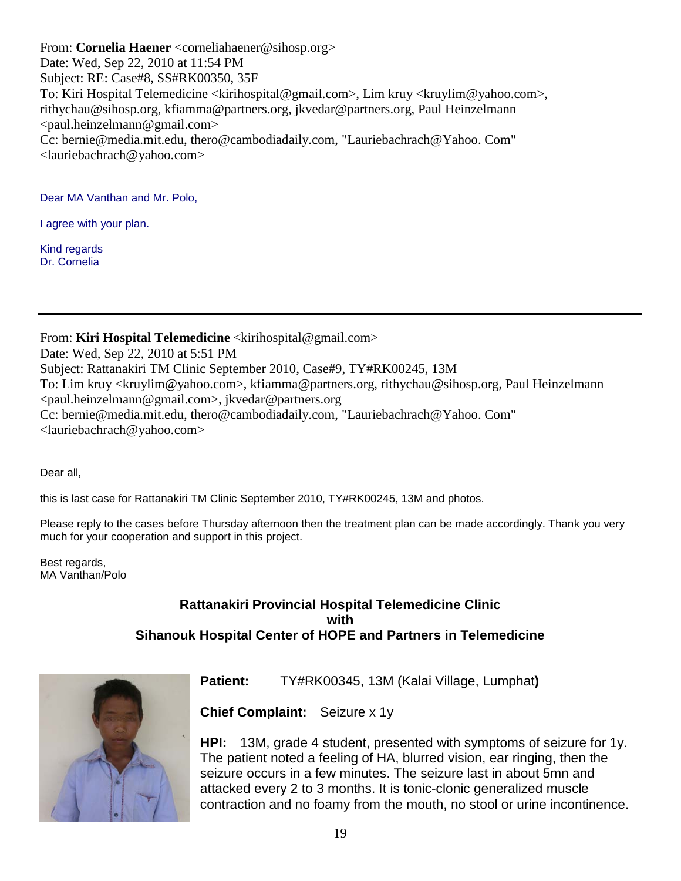From: **Cornelia Haener** <corneliahaener@sihosp.org> Date: Wed, Sep 22, 2010 at 11:54 PM Subject: RE: Case#8, SS#RK00350, 35F To: Kiri Hospital Telemedicine <kirihospital@gmail.com>, Lim kruy <kruylim@yahoo.com>, rithychau@sihosp.org, kfiamma@partners.org, jkvedar@partners.org, Paul Heinzelmann <paul.heinzelmann@gmail.com> Cc: bernie@media.mit.edu, thero@cambodiadaily.com, "Lauriebachrach@Yahoo. Com" <lauriebachrach@yahoo.com>

Dear MA Vanthan and Mr. Polo,

I agree with your plan.

Kind regards Dr. Cornelia

From: **Kiri Hospital Telemedicine** <kirihospital@gmail.com>

Date: Wed, Sep 22, 2010 at 5:51 PM Subject: Rattanakiri TM Clinic September 2010, Case#9, TY#RK00245, 13M To: Lim kruy <kruylim@yahoo.com>, kfiamma@partners.org, rithychau@sihosp.org, Paul Heinzelmann <paul.heinzelmann@gmail.com>, jkvedar@partners.org Cc: bernie@media.mit.edu, thero@cambodiadaily.com, "Lauriebachrach@Yahoo. Com" <lauriebachrach@yahoo.com>

Dear all,

this is last case for Rattanakiri TM Clinic September 2010, TY#RK00245, 13M and photos.

Please reply to the cases before Thursday afternoon then the treatment plan can be made accordingly. Thank you very much for your cooperation and support in this project.

Best regards, MA Vanthan/Polo

# **Rattanakiri Provincial Hospital Telemedicine Clinic with Sihanouk Hospital Center of HOPE and Partners in Telemedicine**



**Patient:** TY#RK00345, 13M (Kalai Village, Lumphat**)** 

**Chief Complaint:** Seizure x 1y

**HPI:** 13M, grade 4 student, presented with symptoms of seizure for 1y. The patient noted a feeling of HA, blurred vision, ear ringing, then the seizure occurs in a few minutes. The seizure last in about 5mn and attacked every 2 to 3 months. It is tonic-clonic generalized muscle contraction and no foamy from the mouth, no stool or urine incontinence.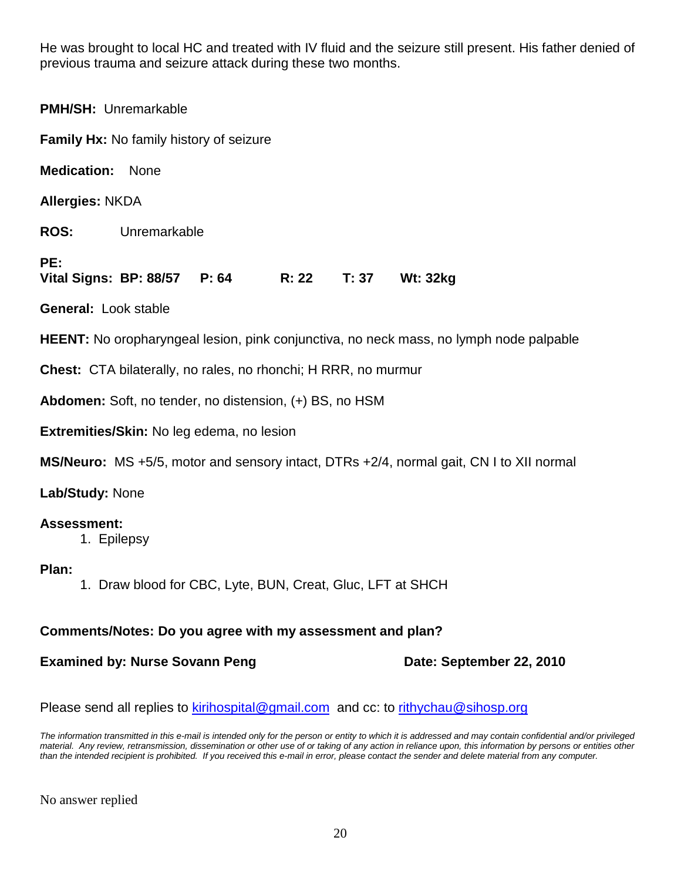He was brought to local HC and treated with IV fluid and the seizure still present. His father denied of previous trauma and seizure attack during these two months.

**PMH/SH:** Unremarkable **Family Hx:** No family history of seizure **Medication:** None **Allergies:** NKDA **ROS:** Unremarkable **PE: Vital Signs: BP: 88/57 P: 64 R: 22 T: 37 Wt: 32kg General:** Look stable **HEENT:** No oropharyngeal lesion, pink conjunctiva, no neck mass, no lymph node palpable **Chest:** CTA bilaterally, no rales, no rhonchi; H RRR, no murmur **Abdomen:** Soft, no tender, no distension, (+) BS, no HSM **Extremities/Skin:** No leg edema, no lesion

**MS/Neuro:** MS +5/5, motor and sensory intact, DTRs +2/4, normal gait, CN I to XII normal

**Lab/Study:** None

# **Assessment:**

1. Epilepsy

# **Plan:**

1. Draw blood for CBC, Lyte, BUN, Creat, Gluc, LFT at SHCH

# **Comments/Notes: Do you agree with my assessment and plan?**

# **Examined by: Nurse Sovann Peng Date: September 22, 2010**

Please send all replies to [kirihospital@gmail.com](mailto:kirihospital@gmail.com) and cc: to [rithychau@sihosp.org](mailto:rithychau@sihosp.org)

*The information transmitted in this e-mail is intended only for the person or entity to which it is addressed and may contain confidential and/or privileged material. Any review, retransmission, dissemination or other use of or taking of any action in reliance upon, this information by persons or entities other than the intended recipient is prohibited. If you received this e-mail in error, please contact the sender and delete material from any computer.*

No answer replied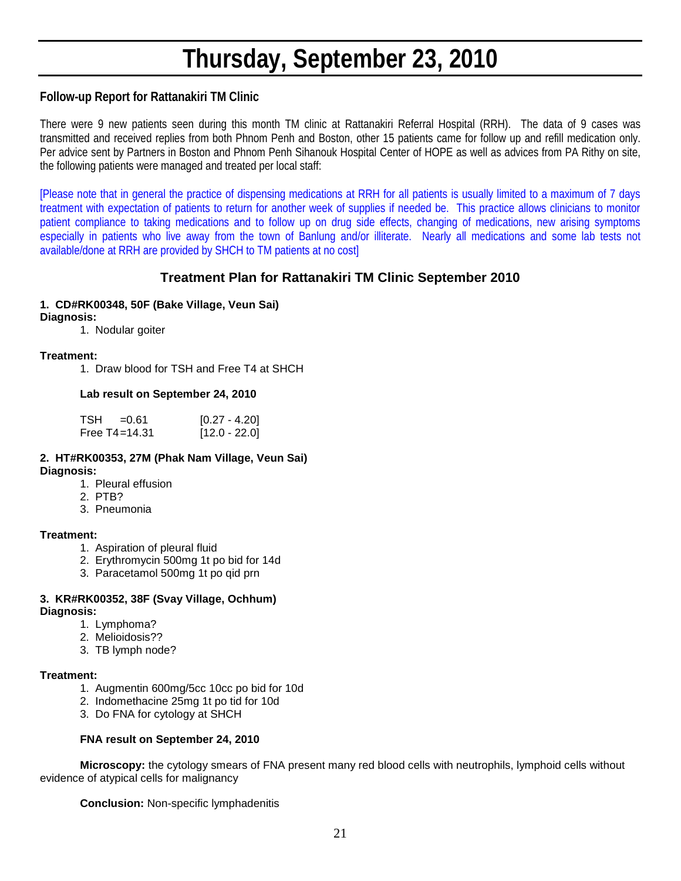# **Thursday, September 23, 2010**

# **Follow-up Report for Rattanakiri TM Clinic**

There were 9 new patients seen during this month TM clinic at Rattanakiri Referral Hospital (RRH). The data of 9 cases was transmitted and received replies from both Phnom Penh and Boston, other 15 patients came for follow up and refill medication only. Per advice sent by Partners in Boston and Phnom Penh Sihanouk Hospital Center of HOPE as well as advices from PA Rithy on site, the following patients were managed and treated per local staff:

[Please note that in general the practice of dispensing medications at RRH for all patients is usually limited to a maximum of 7 days treatment with expectation of patients to return for another week of supplies if needed be. This practice allows clinicians to monitor patient compliance to taking medications and to follow up on drug side effects, changing of medications, new arising symptoms especially in patients who live away from the town of Banlung and/or illiterate. Nearly all medications and some lab tests not available/done at RRH are provided by SHCH to TM patients at no cost]

# **Treatment Plan for Rattanakiri TM Clinic September 2010**

# **1. CD#RK00348, 50F (Bake Village, Veun Sai)**

# **Diagnosis:**

1. Nodular goiter

#### **Treatment:**

1. Draw blood for TSH and Free T4 at SHCH

#### **Lab result on September 24, 2010**

| TSH | =0.61             | $[0.27 - 4.20]$ |
|-----|-------------------|-----------------|
|     | Free $T4 = 14.31$ | $[12.0 - 22.0]$ |

#### **2. HT#RK00353, 27M (Phak Nam Village, Veun Sai) Diagnosis:**

- 1. Pleural effusion
- 2. PTB?
- 3. Pneumonia

#### **Treatment:**

- 1. Aspiration of pleural fluid
- 2. Erythromycin 500mg 1t po bid for 14d
- 3. Paracetamol 500mg 1t po qid prn

# **3. KR#RK00352, 38F (Svay Village, Ochhum)**

**Diagnosis:**

- 1. Lymphoma?
- 2. Melioidosis??
- 3. TB lymph node?

#### **Treatment:**

- 1. Augmentin 600mg/5cc 10cc po bid for 10d
- 2. Indomethacine 25mg 1t po tid for 10d
- 3. Do FNA for cytology at SHCH

#### **FNA result on September 24, 2010**

**Microscopy:** the cytology smears of FNA present many red blood cells with neutrophils, lymphoid cells without evidence of atypical cells for malignancy

**Conclusion:** Non-specific lymphadenitis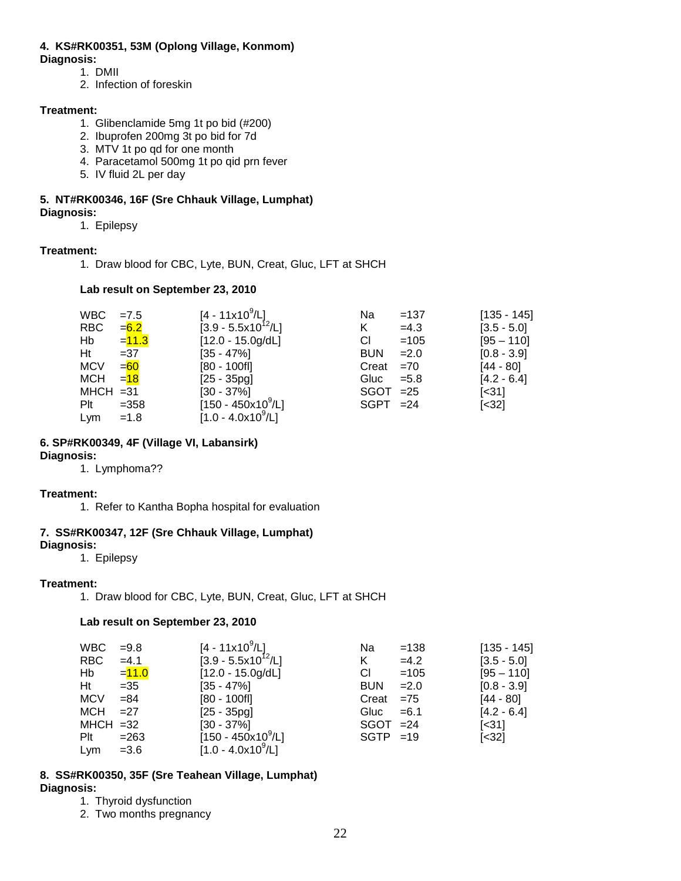### **4. KS#RK00351, 53M (Oplong Village, Konmom)**

#### **Diagnosis:**

- 1. DMII
- 2. Infection of foreskin

#### **Treatment:**

- 1. Glibenclamide 5mg 1t po bid (#200)
- 2. Ibuprofen 200mg 3t po bid for 7d
- 3. MTV 1t po qd for one month
- 4. Paracetamol 500mg 1t po qid prn fever
- 5. IV fluid 2L per day

#### **5. NT#RK00346, 16F (Sre Chhauk Village, Lumphat) Diagnosis:**

1. Epilepsy

#### **Treatment:**

1. Draw blood for CBC, Lyte, BUN, Creat, Gluc, LFT at SHCH

#### **Lab result on September 23, 2010**

| <b>WBC</b>  | $=7.5$   | [4 - 11x10 $^9$ /L]     | Na          | $=137$  | $[135 - 145]$              |
|-------------|----------|-------------------------|-------------|---------|----------------------------|
| <b>RBC</b>  | $= 6.2$  | $[3.9 - 5.5x10^{12}/L]$ | K           | $=4.3$  | $[3.5 - 5.0]$              |
| Hb          | $= 11.3$ | $[12.0 - 15.0g/dL]$     | СI          | $=105$  | $[95 - 110]$               |
| Ht          | $=37$    | $[35 - 47\%]$           | <b>BUN</b>  | $= 2.0$ | $[0.8 - 3.9]$              |
| <b>MCV</b>  | $= 60$   | $[80 - 100f]$           | Creat       | $=70$   | $[44 - 80]$                |
| MCH         | $= 18$   | $[25 - 35pg]$           | Gluc $=5.8$ |         | $[4.2 - 6.4]$              |
| $MHCH = 31$ |          | $[30 - 37\%]$           | $SGOT = 25$ |         | $\left[ \times 31 \right]$ |
| Plt         | $=358$   | $[150 - 450x10^9/L]$    | $SGPT = 24$ |         | $\left[ < 32 \right]$      |
| Lym         | $=1.8$   | $[1.0 - 4.0x10^9/L]$    |             |         |                            |

#### **6. SP#RK00349, 4F (Village VI, Labansirk)**

#### **Diagnosis:**

1. Lymphoma??

#### **Treatment:**

1. Refer to Kantha Bopha hospital for evaluation

### **7. SS#RK00347, 12F (Sre Chhauk Village, Lumphat)**

#### **Diagnosis:**

1. Epilepsy

#### **Treatment:**

1. Draw blood for CBC, Lyte, BUN, Creat, Gluc, LFT at SHCH

#### **Lab result on September 23, 2010**

| <b>WBC</b>  | $=9.8$   | $[4 - 11 \times 10^9 / L]$ | Na          | $=138$  | $[135 - 145]$              |
|-------------|----------|----------------------------|-------------|---------|----------------------------|
| <b>RBC</b>  | $=4.1$   | $[3.9 - 5.5x10^{12} / L]$  | K           | $=4.2$  | $[3.5 - 5.0]$              |
| Hb          | $= 11.0$ | $[12.0 - 15.0g/dL]$        | CI.         | $=105$  | $[95 - 110]$               |
| Ht          | $=35$    | $[35 - 47\%]$              | <b>BUN</b>  | $=2.0$  | $[0.8 - 3.9]$              |
| <b>MCV</b>  | $= 84$   | $[80 - 100$ fl]            | Creat       | $= 75$  | $[44 - 80]$                |
| MCH         | $=27$    | $[25 - 35pg]$              | Gluc        | $= 6.1$ | $[4.2 - 6.4]$              |
| $MHCH = 32$ |          | $[30 - 37\%]$              | $SGOT = 24$ |         | $\left[ \times 31 \right]$ |
| $P$ lt      | $= 263$  | $[150 - 450x10^9/L]$       | $SGTP = 19$ |         | $\left[ < 32 \right]$      |
| Lym         | $=3.6$   | $[1.0 - 4.0x10^9/L]$       |             |         |                            |

#### **8. SS#RK00350, 35F (Sre Teahean Village, Lumphat) Diagnosis:**

- 1. Thyroid dysfunction
- 2. Two months pregnancy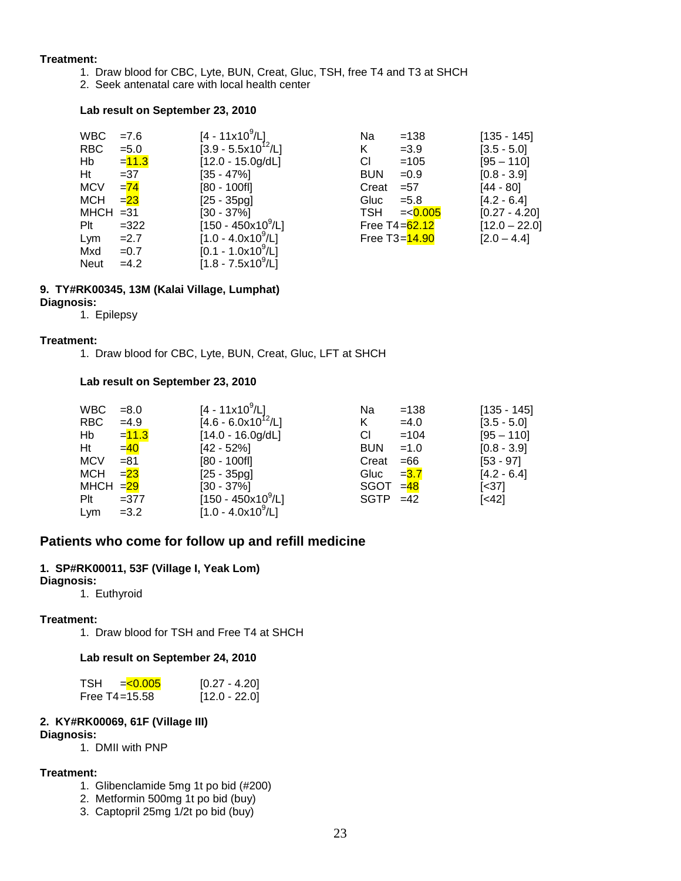#### **Treatment:**

- 1. Draw blood for CBC, Lyte, BUN, Creat, Gluc, TSH, free T4 and T3 at SHCH
- 2. Seek antenatal care with local health center

#### **Lab result on September 23, 2010**

| <b>WBC</b>  | $=7.6$   | $[4 - 11x10^9/L]$                  | Na         | $=138$           | $[135 - 145]$   |
|-------------|----------|------------------------------------|------------|------------------|-----------------|
| <b>RBC</b>  | $= 5.0$  | $[3.9 - 5.5x10^{12}/L]$            | K          | $=3.9$           | $[3.5 - 5.0]$   |
| Hb          | $= 11.3$ | $[12.0 - 15.0g/dL]$                | CI.        | $=105$           | $[95 - 110]$    |
| Ht          | $=37$    | $[35 - 47\%]$                      | <b>BUN</b> | $=0.9$           | $[0.8 - 3.9]$   |
| <b>MCV</b>  | $= 74$   | $[80 - 100f]$                      | Creat      | $= 57$           | [44 - 80]       |
| MCH         | $= 23$   | $[25 - 35pg]$                      | Gluc       | $= 5.8$          | $[4.2 - 6.4]$   |
| $MHCH = 31$ |          | $[30 - 37\%]$                      | TSH        | $=<0.005$        | $[0.27 - 4.20]$ |
| $P$ It      | $=322$   | $[150 - 450 \times 10^9/\text{L}]$ |            | Free T4= $62.12$ | $[12.0 - 22.0]$ |
| Lym         | $=2.7$   | $[1.0 - 4.0x10^9/L]$               |            | Free T3=14.90    | $[2.0 - 4.4]$   |
| Mxd         | $=0.7$   | $[0.1 - 1.0x10^9/L]$               |            |                  |                 |
| <b>Neut</b> | $=4.2$   | $[1.8 - 7.5x10^9/L]$               |            |                  |                 |

# **9. TY#RK00345, 13M (Kalai Village, Lumphat)**

- **Diagnosis:**
	- 1. Epilepsy

#### **Treatment:**

1. Draw blood for CBC, Lyte, BUN, Creat, Gluc, LFT at SHCH

#### **Lab result on September 23, 2010**

| <b>WBC</b> | $= 8.0$  | $[4 - 11x10^9/L]$                  | Na          | $=138$  | $[135 - 145]$ |
|------------|----------|------------------------------------|-------------|---------|---------------|
| <b>RBC</b> | $=4.9$   | $[4.6 - 6.0x10^{12}/L]$            | K           | $=4.0$  | $[3.5 - 5.0]$ |
| Hb         | $= 11.3$ | $[14.0 - 16.0g/dL]$                | СI          | $=104$  | $[95 - 110]$  |
| Ht         | $=40$    | $[42 - 52\%]$                      | <b>BUN</b>  | $=1.0$  | $[0.8 - 3.9]$ |
| <b>MCV</b> | $= 81$   | $[80 - 100f]$                      | Creat       | $=66$   | $[53 - 97]$   |
| MCH        | $= 23$   | $[25 - 35pq]$                      | Gluc        | $= 3.7$ | $[4.2 - 6.4]$ |
| MHCH = 29  |          | $[30 - 37\%]$                      | $SGOT = 48$ |         | $[<37]$       |
| Plt        | $= 377$  | $[150 - 450 \times 10^9/\text{L}]$ | $SGTP = 42$ |         | $[<42]$       |
| Lym        | $=3.2$   | $[1.0 - 4.0x109/L]$                |             |         |               |

# **Patients who come for follow up and refill medicine**

#### **1. SP#RK00011, 53F (Village I, Yeak Lom)**

#### **Diagnosis:**

1. Euthyroid

#### **Treatment:**

1. Draw blood for TSH and Free T4 at SHCH

#### **Lab result on September 24, 2010**

| <b>TSH</b><br>$= 0.005$ | $[0.27 - 4.20]$ |
|-------------------------|-----------------|
| Free $T4 = 15.58$       | $[12.0 - 22.0]$ |

#### **2. KY#RK00069, 61F (Village III)**

#### **Diagnosis:**

1. DMII with PNP

#### **Treatment:**

- 1. Glibenclamide 5mg 1t po bid (#200)
- 2. Metformin 500mg 1t po bid (buy)
- 3. Captopril 25mg 1/2t po bid (buy)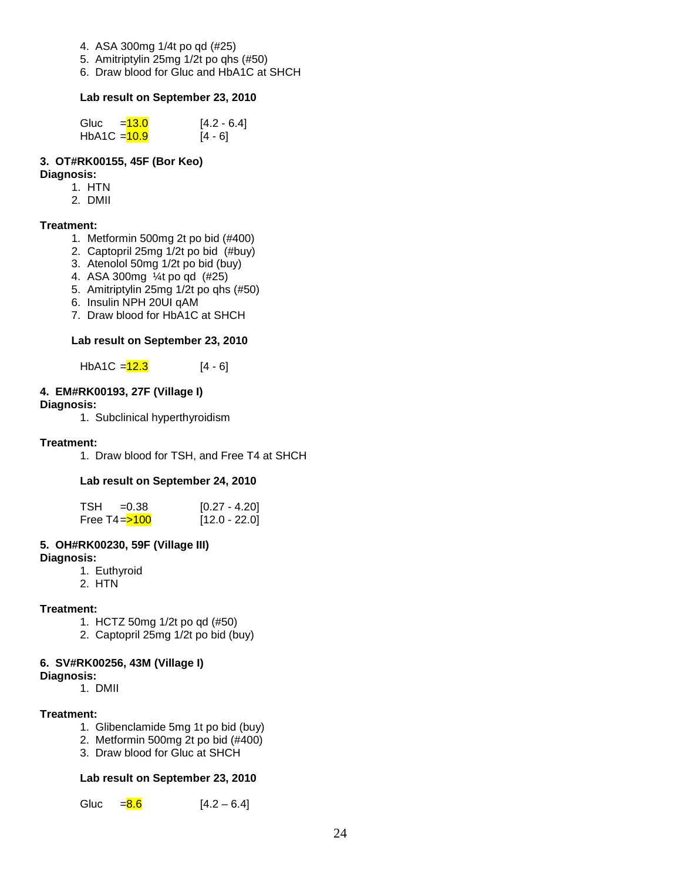- 4. ASA 300mg 1/4t po qd (#25)
- 5. Amitriptylin 25mg 1/2t po qhs (#50)
- 6. Draw blood for Gluc and HbA1C at SHCH

#### **Lab result on September 23, 2010**

| Gluc           | $=13.0$ | $[4.2 - 6.4]$ |
|----------------|---------|---------------|
| $HbA1C = 10.9$ |         | $[4 - 6]$     |

#### **3. OT#RK00155, 45F (Bor Keo)**

#### **Diagnosis:**

- 1. HTN
- 2. DMII

#### **Treatment:**

- 1. Metformin 500mg 2t po bid (#400)
- 2. Captopril 25mg 1/2t po bid (#buy)
- 3. Atenolol 50mg 1/2t po bid (buy)
- 4. ASA 300mg ¼t po qd (#25)
- 5. Amitriptylin 25mg 1/2t po qhs (#50)
- 6. Insulin NPH 20UI qAM
- 7. Draw blood for HbA1C at SHCH

#### **Lab result on September 23, 2010**

HbA1C =  $12.3$  [4 - 6]

#### **4. EM#RK00193, 27F (Village I)**

# **Diagnosis:**

1. Subclinical hyperthyroidism

#### **Treatment:**

1. Draw blood for TSH, and Free T4 at SHCH

#### **Lab result on September 24, 2010**

| $TSH = 0.38$                  | $[0.27 - 4.20]$ |
|-------------------------------|-----------------|
| Free T4= <mark>&gt;100</mark> | $[12.0 - 22.0]$ |

#### **5. OH#RK00230, 59F (Village III)**

#### **Diagnosis:**

- 1. Euthyroid
- 2. HTN

#### **Treatment:**

- 1. HCTZ 50mg 1/2t po qd (#50)
- 2. Captopril 25mg 1/2t po bid (buy)

#### **6. SV#RK00256, 43M (Village I)**

- **Diagnosis:**
	- 1. DMII

#### **Treatment:**

- 1. Glibenclamide 5mg 1t po bid (buy)
- 2. Metformin 500mg 2t po bid (#400)
- 3. Draw blood for Gluc at SHCH

#### **Lab result on September 23, 2010**

Gluc  $= 8.6$  [4.2 – 6.4]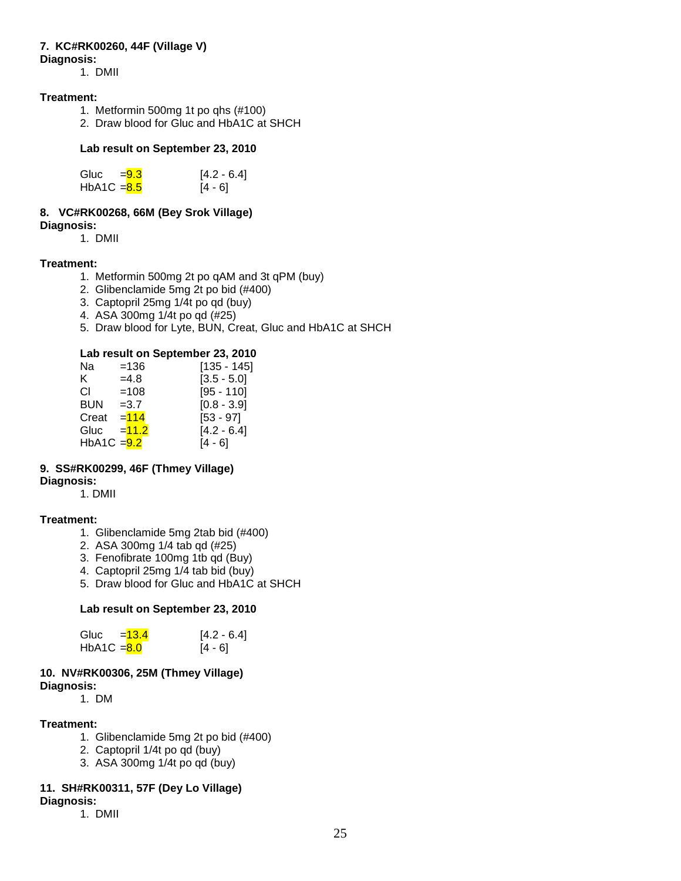# **7. KC#RK00260, 44F (Village V)**

#### **Diagnosis:**

1. DMII

#### **Treatment:**

- 1. Metformin 500mg 1t po qhs (#100)
- 2. Draw blood for Gluc and HbA1C at SHCH

#### **Lab result on September 23, 2010**

| Gluc          | $= 9.3$ | $[4.2 - 6.4]$ |
|---------------|---------|---------------|
| HbA1C $= 8.5$ |         | $[4 - 6]$     |

#### **8. VC#RK00268, 66M (Bey Srok Village) Diagnosis:**

1. DMII

#### **Treatment:**

- 1. Metformin 500mg 2t po qAM and 3t qPM (buy)
- 2. Glibenclamide 5mg 2t po bid (#400)
- 3. Captopril 25mg 1/4t po qd (buy)
- 4. ASA 300mg 1/4t po qd (#25)
- 5. Draw blood for Lyte, BUN, Creat, Gluc and HbA1C at SHCH

#### **Lab result on September 23, 2010**

| Na                       | $=136$  | [135 - 145]   |
|--------------------------|---------|---------------|
| K.                       | $=4.8$  | $[3.5 - 5.0]$ |
| СI                       | $=108$  | $[95 - 110]$  |
| BUN                      | $=3.7$  | $[0.8 - 3.9]$ |
| Creat                    | $= 114$ | $[53 - 97]$   |
| Gluc                     | $=11.2$ | $[4.2 - 6.4]$ |
| HbA1C = <mark>9.2</mark> |         | [4 - 6]       |

#### **9. SS#RK00299, 46F (Thmey Village) Diagnosis:**

1. DMII

#### **Treatment:**

- 1. Glibenclamide 5mg 2tab bid (#400)
- 2. ASA 300mg 1/4 tab qd (#25)
- 3. Fenofibrate 100mg 1tb qd (Buy)
- 4. Captopril 25mg 1/4 tab bid (buy)
- 5. Draw blood for Gluc and HbA1C at SHCH

#### **Lab result on September 23, 2010**

| Gluc          | $= 13.4$ | $[4.2 - 6.4]$ |
|---------------|----------|---------------|
| $HbA1C = 8.0$ |          | $[4 - 6]$     |

#### **10. NV#RK00306, 25M (Thmey Village) Diagnosis:**

1. DM

#### **Treatment:**

- 1. Glibenclamide 5mg 2t po bid (#400)
- 2. Captopril 1/4t po qd (buy)
- 3. ASA 300mg 1/4t po qd (buy)

# **11. SH#RK00311, 57F (Dey Lo Village)**

# **Diagnosis:**

1. DMII